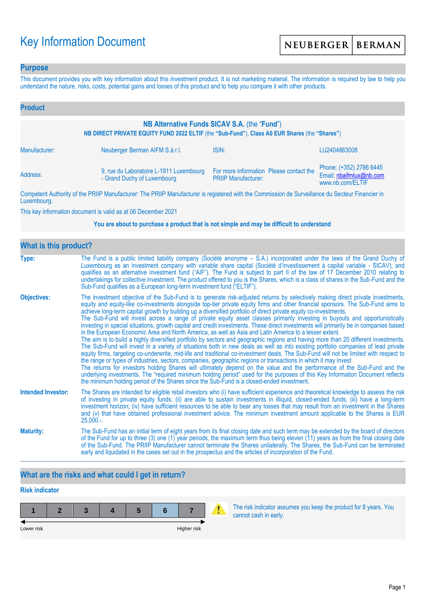# Key Information Document

### **Purpose**

This document provides you with key information about this investment product. It is not marketing material. The information is required by law to help you understand the nature, risks, costs, potential gains and losses of this product and to help you compare it with other products.

| <b>Product</b>                                                                                                                                |                                                                        |                                                                       |                                                                        |  |  |
|-----------------------------------------------------------------------------------------------------------------------------------------------|------------------------------------------------------------------------|-----------------------------------------------------------------------|------------------------------------------------------------------------|--|--|
| NB Alternative Funds SICAV S.A. (the "Fund")<br>NB DIRECT PRIVATE EQUITY FUND 2022 ELTIF (the "Sub-Fund"), Class A0 EUR Shares (the "Shares") |                                                                        |                                                                       |                                                                        |  |  |
| Manufacturer:                                                                                                                                 | Neuberger Berman AIFM S.à r.l.                                         | ISIN:                                                                 | LU2404863008                                                           |  |  |
| Address:                                                                                                                                      | 9, rue du Laboratoire L-1911 Luxembourg<br>- Grand Duchy of Luxembourg | For more information Please contact the<br><b>PRIIP Manufacturer:</b> | Phone: (+352) 2786 6445<br>Email: nbaifmlux@nb.com<br>www.nb.com/ELTIF |  |  |

Competent Authority of the PRIIP Manufacturer: The PRIIP Manufacturer is registered with the Commission de Surveillance du Secteur Financier in Luxembourg.

This key information document is valid as at 06 December 2021

#### **You are about to purchase a product that is not simple and may be difficult to understand**

| <b>What is this product?</b> |                                                                                                                                                                                                                                                                                                                                                                                                                                                                                                                                                                                                                                                                                                                                                                                                                                                                                                                                                                                                                                                                                                                                                                                                                                                                                                                                                                                                                                                                                                                                                                                                                                                                               |
|------------------------------|-------------------------------------------------------------------------------------------------------------------------------------------------------------------------------------------------------------------------------------------------------------------------------------------------------------------------------------------------------------------------------------------------------------------------------------------------------------------------------------------------------------------------------------------------------------------------------------------------------------------------------------------------------------------------------------------------------------------------------------------------------------------------------------------------------------------------------------------------------------------------------------------------------------------------------------------------------------------------------------------------------------------------------------------------------------------------------------------------------------------------------------------------------------------------------------------------------------------------------------------------------------------------------------------------------------------------------------------------------------------------------------------------------------------------------------------------------------------------------------------------------------------------------------------------------------------------------------------------------------------------------------------------------------------------------|
| Type:                        | The Fund is a public limited liability company (Société anonyme – S.A.) incorporated under the laws of the Grand Duchy of<br>Luxembourg as an investment company with variable share capital (Société d'investissement à capital variable - SICAV); and<br>qualifies as an alternative investment fund ("AIF"). The Fund is subject to part II of the law of 17 December 2010 relating to<br>undertakings for collective investment. The product offered to you is the Shares, which is a class of shares in the Sub-Fund and the<br>Sub-Fund qualifies as a European long-term investment fund ("ELTIF").                                                                                                                                                                                                                                                                                                                                                                                                                                                                                                                                                                                                                                                                                                                                                                                                                                                                                                                                                                                                                                                                    |
| <b>Objectives:</b>           | The investment objective of the Sub-Fund is to generate risk-adjusted returns by selectively making direct private investments,<br>equity and equity-like co-investments alongside top-tier private equity firms and other financial sponsors. The Sub-Fund aims to<br>achieve long-term capital growth by building up a diversified portfolio of direct private equity co-investments.<br>The Sub-Fund will invest across a range of private equity asset classes primarily investing in buyouts and opportunistically<br>investing in special situations, growth capital and credit investments. These direct investments will primarily be in companies based<br>in the European Economic Area and North America, as well as Asia and Latin America to a lesser extent.<br>The aim is to build a highly diversified portfolio by sectors and geographic regions and having more than 20 different investments.<br>The Sub-Fund will invest in a variety of situations both in new deals as well as into existing portfolio companies of lead private<br>equity firms, targeting co-underwrite, mid-life and traditional co-investment deals. The Sub-Fund will not be limited with respect to<br>the range or types of industries, sectors, companies, geographic regions or transactions in which it may invest<br>The returns for investors holding Shares will ultimately depend on the value and the performance of the Sub-Fund and the<br>underlying investments. The "required minimum holding period" used for the purposes of this Key Information Document reflects<br>the minimum holding period of the Shares since the Sub-Fund is a closed-ended investment. |
| <b>Intended Investor:</b>    | The Shares are intended for eligible retail investors who (i) have sufficient experience and theoretical knowledge to assess the risk<br>of investing in private equity funds; (ii) are able to sustain investments in illiquid, closed-ended funds; (iii) have a long-term<br>investment horizon; (iv) have sufficient resources to be able to bear any losses that may result from an investment in the Shares<br>and (v) that have obtained professional investment advice. The minimum investment amount applicable to the Shares is EUR<br>$25,000.$ -.                                                                                                                                                                                                                                                                                                                                                                                                                                                                                                                                                                                                                                                                                                                                                                                                                                                                                                                                                                                                                                                                                                                  |
| <b>Maturity:</b>             | The Sub-Fund has an initial term of eight years from its final closing date and such term may be extended by the board of directors<br>of the Fund for up to three (3) one (1) year periods, the maximum term thus being eleven (11) years as from the final closing date<br>of the Sub-Fund. The PRIIP Manufacturer cannot terminate the Shares unilaterally. The Shares, the Sub-Fund can be terminated<br>early and liquidated in the cases set out in the prospectus and the articles of incorporation of the Fund.                                                                                                                                                                                                                                                                                                                                                                                                                                                                                                                                                                                                                                                                                                                                                                                                                                                                                                                                                                                                                                                                                                                                                       |

# **What are the risks and what could I get in return?**

# **Risk indicator**

| Lower risk |  |  | Higher risk |  |
|------------|--|--|-------------|--|

The risk indicator assumes you keep the product for 8 years. You cannot cash in early.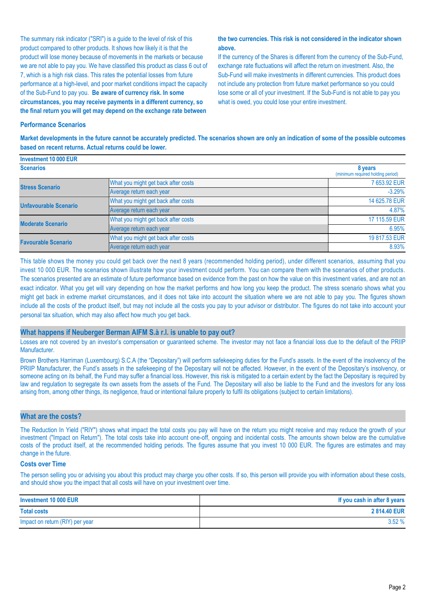The summary risk indicator ("SRI") is a guide to the level of risk of this product compared to other products. It shows how likely it is that the product will lose money because of movements in the markets or because we are not able to pay you. We have classified this product as class 6 out of 7, which is a high risk class. This rates the potential losses from future performance at a high-level, and poor market conditions impact the capacity of the Sub-Fund to pay you. **Be aware of currency risk. In some circumstances, you may receive payments in a different currency, so the final return you will get may depend on the exchange rate between** 

#### **the two currencies. This risk is not considered in the indicator shown above.**

If the currency of the Shares is different from the currency of the Sub-Fund, exchange rate fluctuations will affect the return on investment. Also, the Sub-Fund will make investments in different currencies. This product does not include any protection from future market performance so you could lose some or all of your investment. If the Sub-Fund is not able to pay you what is owed, you could lose your entire investment.

#### **Performance Scenarios**

**Market developments in the future cannot be accurately predicted. The scenarios shown are only an indication of some of the possible outcomes based on recent returns. Actual returns could be lower.**

| Investment 10 000 EUR      |                                     |                                              |
|----------------------------|-------------------------------------|----------------------------------------------|
| <b>Scenarios</b>           |                                     | 8 years<br>(minimum required holding period) |
| <b>Stress Scenario</b>     | What you might get back after costs | 7 653.92 EUR                                 |
|                            | Average return each year            | $-3.29%$                                     |
| Unfavourable Scenario      | What you might get back after costs | 14 625,78 EUR                                |
|                            | Average return each year            | 4.87%                                        |
| <b>Moderate Scenario</b>   | What you might get back after costs | 17 115.59 EUR                                |
|                            | Average return each year            | 6.95%                                        |
| <b>Favourable Scenario</b> | What you might get back after costs | 19 817.53 EUR                                |
|                            | Average return each year            | 8.93%                                        |

This table shows the money you could get back over the next 8 years (recommended holding period), under different scenarios, assuming that you invest 10 000 EUR. The scenarios shown illustrate how your investment could perform. You can compare them with the scenarios of other products. The scenarios presented are an estimate of future performance based on evidence from the past on how the value on this investment varies, and are not an exact indicator. What you get will vary depending on how the market performs and how long you keep the product. The stress scenario shows what you might get back in extreme market circumstances, and it does not take into account the situation where we are not able to pay you. The figures shown include all the costs of the product itself, but may not include all the costs you pay to your advisor or distributor. The figures do not take into account your personal tax situation, which may also affect how much you get back.

#### **What happens if Neuberger Berman AIFM S.à r.l. is unable to pay out?**

Losses are not covered by an investor's compensation or guaranteed scheme. The investor may not face a financial loss due to the default of the PRIIP Manufacturer.

Brown Brothers Harriman (Luxembourg) S.C.A (the "Depositary") will perform safekeeping duties for the Fund's assets. In the event of the insolvency of the PRIIP Manufacturer, the Fund's assets in the safekeeping of the Depositary will not be affected. However, in the event of the Depositary's insolvency, or someone acting on its behalf, the Fund may suffer a financial loss. However, this risk is mitigated to a certain extent by the fact the Depositary is required by law and regulation to segregate its own assets from the assets of the Fund. The Depositary will also be liable to the Fund and the investors for any loss arising from, among other things, its negligence, fraud or intentional failure properly to fulfil its obligations (subject to certain limitations).

#### **What are the costs?**

The Reduction In Yield ("RIY") shows what impact the total costs you pay will have on the return you might receive and may reduce the growth of your investment ("Impact on Return"). The total costs take into account one-off, ongoing and incidental costs. The amounts shown below are the cumulative costs of the product itself, at the recommended holding periods. The figures assume that you invest 10 000 EUR. The figures are estimates and may change in the future.

#### **Costs over Time**

The person selling you or advising you about this product may charge you other costs. If so, this person will provide you with information about these costs, and should show you the impact that all costs will have on your investment over time.

| Investment 10 000 EUR           | If you cash in after 8 years |
|---------------------------------|------------------------------|
| <b>Total costs</b>              | 2814.40 EUR                  |
| Impact on return (RIY) per year | 3.52%                        |